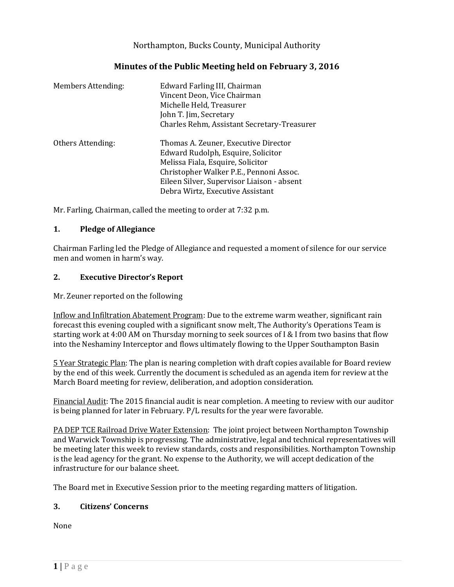Northampton, Bucks County, Municipal Authority

# **Minutes of the Public Meeting held on February 3, 2016**

| Members Attending: | Edward Farling III, Chairman<br>Vincent Deon, Vice Chairman<br>Michelle Held, Treasurer<br>John T. Jim, Secretary<br>Charles Rehm, Assistant Secretary-Treasurer                                                                             |
|--------------------|----------------------------------------------------------------------------------------------------------------------------------------------------------------------------------------------------------------------------------------------|
| Others Attending:  | Thomas A. Zeuner, Executive Director<br>Edward Rudolph, Esquire, Solicitor<br>Melissa Fiala, Esquire, Solicitor<br>Christopher Walker P.E., Pennoni Assoc.<br>Eileen Silver, Supervisor Liaison - absent<br>Debra Wirtz, Executive Assistant |

Mr. Farling, Chairman, called the meeting to order at 7:32 p.m.

### **1. Pledge of Allegiance**

Chairman Farling led the Pledge of Allegiance and requested a moment of silence for our service men and women in harm's way.

# **2. Executive Director's Report**

Mr. Zeuner reported on the following

Inflow and Infiltration Abatement Program: Due to the extreme warm weather, significant rain forecast this evening coupled with a significant snow melt, The Authority's Operations Team is starting work at 4:00 AM on Thursday morning to seek sources of I & I from two basins that flow into the Neshaminy Interceptor and flows ultimately flowing to the Upper Southampton Basin

5 Year Strategic Plan: The plan is nearing completion with draft copies available for Board review by the end of this week. Currently the document is scheduled as an agenda item for review at the March Board meeting for review, deliberation, and adoption consideration.

Financial Audit: The 2015 financial audit is near completion. A meeting to review with our auditor is being planned for later in February. P/L results for the year were favorable.

PA DEP TCE Railroad Drive Water Extension: The joint project between Northampton Township and Warwick Township is progressing. The administrative, legal and technical representatives will be meeting later this week to review standards, costs and responsibilities. Northampton Township is the lead agency for the grant. No expense to the Authority, we will accept dedication of the infrastructure for our balance sheet.

The Board met in Executive Session prior to the meeting regarding matters of litigation.

# **3. Citizens' Concerns**

None